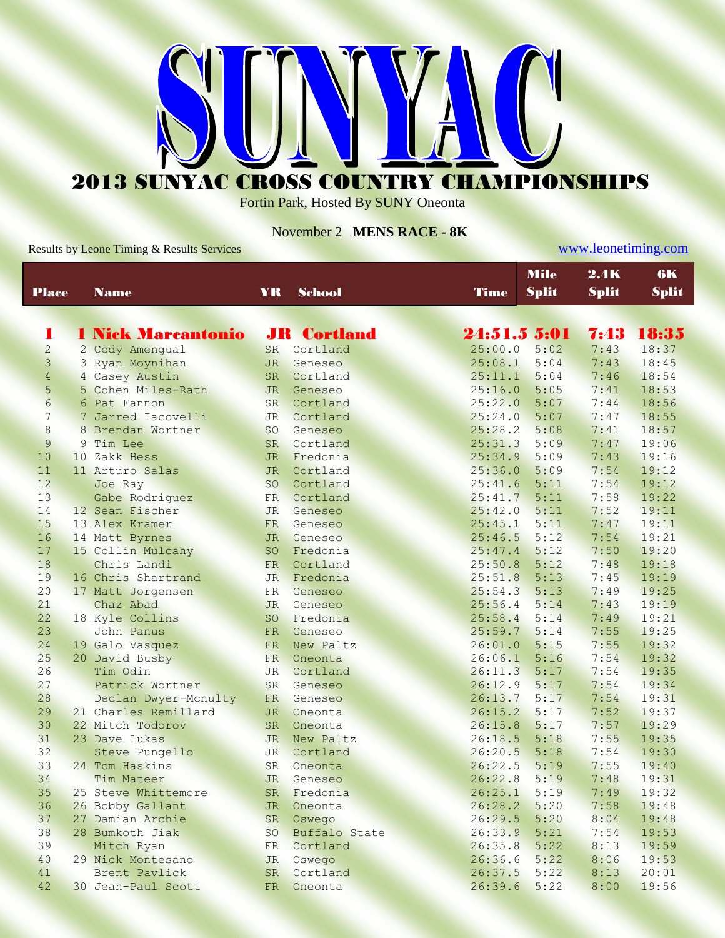# 2013 SUNYAC CROSS COUNTRY CHAMPIONSHIPS

Fortin Park, Hosted By SUNY Oneonta

November 2 **MENS RACE - 8K**

Results by Leone Timing & Results Services [www.leonetiming.com](http://www.leonetiming.com/)

| <b>Place</b>    | <b>Name</b>               | YR.             | <b>School</b>      | <b>Time</b> | <b>Mile</b><br><b>Split</b> | 2.4K<br><b>Split</b> | 6K<br><b>Split</b> |
|-----------------|---------------------------|-----------------|--------------------|-------------|-----------------------------|----------------------|--------------------|
| I               | <b>1 Nick Marcantonio</b> |                 | <b>JR</b> Cortland |             | 24:51.5 5:01                | 7:43                 | 18:35              |
| $\overline{2}$  | 2 Cody Amengual           |                 | SR Cortland        | 25:00.0     | 5:02                        | 7:43                 | 18:37              |
| 3               | 3 Ryan Moynihan           | <b>JR</b>       | Geneseo            | 25:08.1     | 5:04                        | 7:43                 | 18:45              |
| $\overline{4}$  | 4 Casey Austin            | SR              | Cortland           | 25:11.1     | 5:04                        | 7:46                 | 18:54              |
| 5               | 5 Cohen Miles-Rath        | <b>JR</b>       | Geneseo            | 25:16.0     | 5:05                        | 7:41                 | 18:53              |
| $6\overline{6}$ | 6 Pat Fannon              | SR              | Cortland           | 25:22.0     | 5:07                        | 7:44                 | 18:56              |
| 7               | 7 Jarred Iacovelli        | <b>JR</b>       | Cortland           | 25:24.0     | 5:07                        | 7:47                 | 18:55              |
| 8               | 8 Brendan Wortner         | <b>SO</b>       | Geneseo            | 25:28.2     | 5:08                        | 7:41                 | 18:57              |
| 9               | 9 Tim Lee                 | <b>SR</b>       | Cortland           | 25:31.3     | 5:09                        | 7:47                 | 19:06              |
| 10              | 10 Zakk Hess              | <b>JR</b>       | Fredonia           | 25:34.9     | 5:09                        | 7:43                 | 19:16              |
| 11              | 11 Arturo Salas           | <b>JR</b>       | Cortland           | 25:36.0     | 5:09                        | 7:54                 | 19:12              |
| 12              | Joe Ray                   | SO              | Cortland           | 25:41.6     | 5:11                        | 7:54                 | 19:12              |
| 13              | Gabe Rodriguez            | <b>FR</b>       | Cortland           | 25:41.7     | 5:11                        | 7:58                 | 19:22              |
| 14              | 12 Sean Fischer           | <b>JR</b>       | Geneseo            | 25:42.0     | 5:11                        | 7:52                 | 19:11              |
| 15              | 13 Alex Kramer            | FR              | Geneseo            | 25:45.1     | 5:11                        | 7:47                 | 19:11              |
| 16              | 14 Matt Byrnes            | JR.             | Geneseo            | 25:46.5     | 5:12                        | 7:54                 | 19:21              |
| 17              | 15 Collin Mulcahy         | <b>SO</b>       | Fredonia           | 25:47.4     | 5:12                        | 7:50                 | 19:20              |
| 18              | Chris Landi               | FR              | Cortland           | 25:50.8     | 5:12                        | 7:48                 | 19:18              |
| 19              | 16 Chris Shartrand        | <b>JR</b>       | Fredonia           | 25:51.8     | 5:13                        | 7:45                 | 19:19              |
| 20              | 17 Matt Jorgensen         | <b>FR</b>       | Geneseo            | 25:54.3     | 5:13                        | 7:49                 | 19:25              |
| 21              | Chaz Abad                 | <b>JR</b>       | Geneseo            | 25:56.4     | 5:14                        | 7:43                 | 19:19              |
| 22              | 18 Kyle Collins           | <b>SO</b>       | Fredonia           | 25:58.4     | 5:14                        | 7:49                 | 19:21              |
| 23              | John Panus                | <b>FR</b>       | Geneseo            | 25:59.7     | 5:14                        | 7:55                 | 19:25              |
| 24              | 19 Galo Vasquez           | FR              | New Paltz          | 26:01.0     | 5:15                        | 7:55                 | 19:32              |
| 25              | 20 David Busby            | FR              | Oneonta            | 26:06.1     | 5:16                        | 7:54                 | 19:32              |
| 26              | Tim Odin                  | <b>JR</b>       | Cortland           | 26:11.3     | 5:17                        | 7:54                 | 19:35              |
| 27              | Patrick Wortner           | SR              | Geneseo            | 26:12.9     | 5:17                        | 7:54                 | 19:34              |
| 28              | Declan Dwyer-Mcnulty      | FR              | Geneseo            | 26:13.7     | 5:17                        | 7:54                 | 19:31              |
| 29              | 21 Charles Remillard      | <b>JR</b>       | Oneonta            | 26:15.2     | 5:17                        | 7:52                 | 19:37              |
| 30              | 22 Mitch Todorov          | SR              | Oneonta            | 26:15.8     | 5:17                        | 7:57                 | 19:29              |
| 31              | 23 Dave Lukas             | <b>JR</b>       | New Paltz          | 26:18.5     | 5:18                        | 7:55                 | 19:35              |
| 32              | Steve Pungello            | <b>JR</b>       | Cortland           | 26:20.5     | 5:18                        | 7:54                 | 19:30              |
| 33              | 24 Tom Haskins            | <b>SR</b>       | Oneonta            | 26:22.5     | 5:19                        | 7:55                 | 19:40              |
| 34              | Tim Mateer                | <b>JR</b>       | Geneseo            | 26:22.8     | 5:19                        | 7:48                 | 19:31              |
| 35              | 25 Steve Whittemore       | SR              | Fredonia           | 26:25.1     | 5:19                        | 7:49                 | 19:32              |
| 36              | 26 Bobby Gallant          | JR              | Oneonta            | 26:28.2     | 5:20                        | 7:58                 | 19:48              |
| 37              | 27 Damian Archie          | SR              | Oswego             | 26:29.5     | 5:20                        | 8:04                 | 19:48              |
| 38              | 28 Bumkoth Jiak           | SO <sub>1</sub> | Buffalo State      | 26:33.9     | 5:21                        | 7:54                 | 19:53              |
| 39              | Mitch Ryan                | FR              | Cortland           | 26:35.8     | 5:22                        | 8:13                 | 19:59              |
| 40              | 29 Nick Montesano         | <b>JR</b>       | Oswego             | 26:36.6     | 5:22                        | 8:06                 | 19:53              |
| 41              | Brent Pavlick             | SR              | Cortland           | 26:37.5     | 5:22                        | 8:13                 | 20:01              |
| 42              | 30 Jean-Paul Scott        | FR              | Oneonta            | 26:39.6     | 5:22                        | 8:00                 | 19:56              |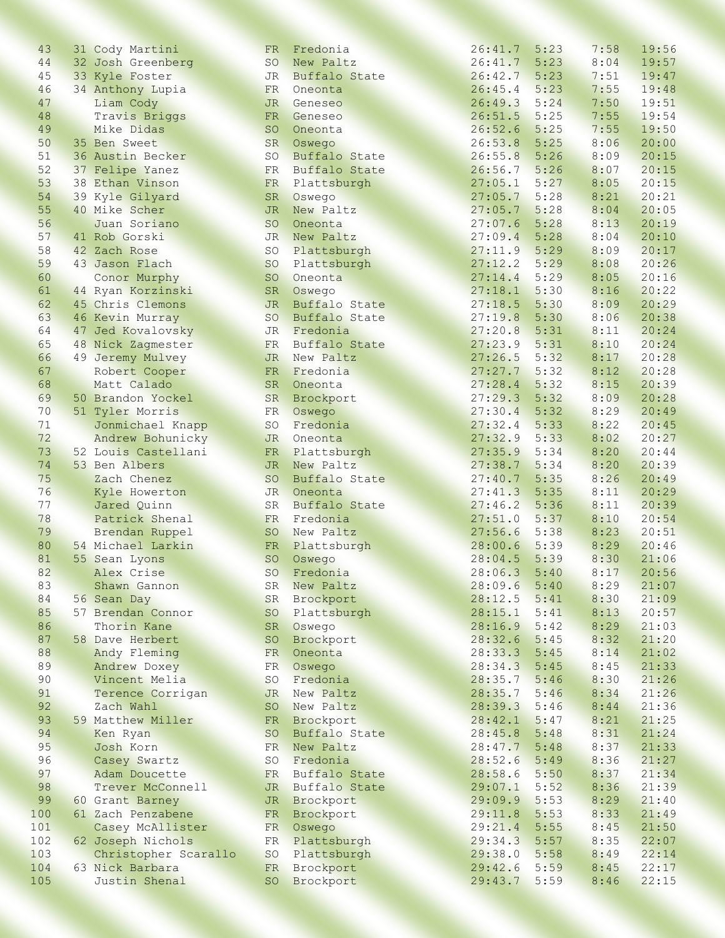| 43  | 31 Cody Martini      | <b>FR</b>       | Fredonia      | 26:41.7 | 5:23 | 7:58 | 19:56 |
|-----|----------------------|-----------------|---------------|---------|------|------|-------|
| 44  | 32 Josh Greenberg    | <b>SO</b>       | New Paltz     | 26:41.7 | 5:23 | 8:04 | 19:57 |
| 45  | 33 Kyle Foster       | <b>JR</b>       | Buffalo State | 26:42.7 | 5:23 | 7:51 | 19:47 |
|     |                      |                 |               |         |      |      |       |
| 46  | 34 Anthony Lupia     | FR              | Oneonta       | 26:45.4 | 5:23 | 7:55 | 19:48 |
| 47  | Liam Cody            | <b>JR</b>       | Geneseo       | 26:49.3 | 5:24 | 7:50 | 19:51 |
| 48  | Travis Briggs        | <b>FR</b>       | Geneseo       | 26:51.5 | 5:25 | 7:55 | 19:54 |
| 49  | Mike Didas           | SO              | Oneonta       | 26:52.6 | 5:25 | 7:55 | 19:50 |
| 50  | 35 Ben Sweet         | SR              | Oswego        | 26:53.8 | 5:25 | 8:06 | 20:00 |
| 51  | 36 Austin Becker     | <b>SO</b>       | Buffalo State | 26:55.8 | 5:26 | 8:09 | 20:15 |
| 52  | 37 Felipe Yanez      | <b>FR</b>       | Buffalo State | 26:56.7 | 5:26 | 8:07 | 20:15 |
| 53  | 38 Ethan Vinson      | <b>FR</b>       | Plattsburgh   | 27:05.1 | 5:27 | 8:05 | 20:15 |
| 54  | 39 Kyle Gilyard      |                 |               | 27:05.7 | 5:28 | 8:21 | 20:21 |
|     |                      | ${\rm SR}$      | Oswego        |         |      |      |       |
| 55  | 40 Mike Scher        | <b>JR</b>       | New Paltz     | 27:05.7 | 5:28 | 8:04 | 20:05 |
| 56  | Juan Soriano         | SO              | Oneonta       | 27:07.6 | 5:28 | 8:13 | 20:19 |
| 57  | 41 Rob Gorski        | <b>JR</b>       | New Paltz     | 27:09.4 | 5:28 | 8:04 | 20:10 |
| 58  | 42 Zach Rose         | <b>SO</b>       | Plattsburgh   | 27:11.9 | 5:29 | 8:09 | 20:17 |
| 59  | 43 Jason Flach       | <b>SO</b>       | Plattsburgh   | 27:12.2 | 5:29 | 8:08 | 20:26 |
| 60  | Conor Murphy         | <b>SO</b>       | Oneonta       | 27:14.4 | 5:29 | 8:05 | 20:16 |
| 61  | 44 Ryan Korzinski    | SR              | Oswego        | 27:18.1 | 5:30 | 8:16 | 20:22 |
| 62  | 45 Chris Clemons     | <b>JR</b>       | Buffalo State | 27:18.5 | 5:30 | 8:09 | 20:29 |
| 63  | 46 Kevin Murray      | SO <sub>1</sub> | Buffalo State | 27:19.8 | 5:30 | 8:06 | 20:38 |
|     |                      |                 |               |         |      |      |       |
| 64  | 47 Jed Kovalovsky    | <b>JR</b>       | Fredonia      | 27:20.8 | 5:31 | 8:11 | 20:24 |
| 65  | 48 Nick Zagmester    | ${\rm FR}$      | Buffalo State | 27:23.9 | 5:31 | 8:10 | 20:24 |
| 66  | 49 Jeremy Mulvey     | <b>JR</b>       | New Paltz     | 27:26.5 | 5:32 | 8:17 | 20:28 |
| 67  | Robert Cooper        | FR              | Fredonia      | 27:27.7 | 5:32 | 8:12 | 20:28 |
| 68  | Matt Calado          | SR              | Oneonta       | 27:28.4 | 5:32 | 8:15 | 20:39 |
| 69  | 50 Brandon Yockel    | <b>SR</b>       | Brockport     | 27:29.3 | 5:32 | 8:09 | 20:28 |
| 70  | 51 Tyler Morris      | FR              | Oswego        | 27:30.4 | 5:32 | 8:29 | 20:49 |
| 71  | Jonmichael Knapp     | <b>SO</b>       | Fredonia      | 27:32.4 | 5:33 | 8:22 | 20:45 |
| 72  | Andrew Bohunicky     | <b>JR</b>       | Oneonta       | 27:32.9 | 5:33 | 8:02 | 20:27 |
|     |                      |                 |               |         |      |      |       |
| 73  | 52 Louis Castellani  | FR              | Plattsburgh   | 27:35.9 | 5:34 | 8:20 | 20:44 |
| 74  | 53 Ben Albers        | <b>JR</b>       | New Paltz     | 27:38.7 | 5:34 | 8:20 | 20:39 |
| 75  | Zach Chenez          | SO              | Buffalo State | 27:40.7 | 5:35 | 8:26 | 20:49 |
| 76  | Kyle Howerton        | JR              | Oneonta       | 27:41.3 | 5:35 | 8:11 | 20:29 |
| 77  | Jared Quinn          | SR              | Buffalo State | 27:46.2 | 5:36 | 8:11 | 20:39 |
| 78  | Patrick Shenal       | FR              | Fredonia      | 27:51.0 | 5:37 | 8:10 | 20:54 |
| 79  | Brendan Ruppel       | <b>SO</b>       | New Paltz     | 27:56.6 | 5:38 | 8:23 | 20:51 |
| 80  | 54 Michael Larkin    | FR              | Plattsburgh   | 28:00.6 | 5:39 | 8:29 | 20:46 |
| 81  | 55 Sean Lyons        | <b>SO</b>       | Oswego        | 28:04.5 | 5:39 | 8:30 | 21:06 |
| 82  | Alex Crise           |                 | SO Fredonia   | 28:06.3 | 5:40 | 8:17 | 20:56 |
|     |                      |                 |               |         |      |      |       |
| 83  | Shawn Gannon         | SR              | New Paltz     | 28:09.6 | 5:40 | 8:29 | 21:07 |
| 84  | 56 Sean Day          | SR              | Brockport     | 28:12.5 | 5:41 | 8:30 | 21:09 |
| 85  | 57 Brendan Connor    | <b>SO</b>       | Plattsburgh   | 28:15.1 | 5:41 | 8:13 | 20:57 |
| 86  | Thorin Kane          | <b>SR</b>       | Oswego        | 28:16.9 | 5:42 | 8:29 | 21:03 |
| 87  | 58 Dave Herbert      | <b>SO</b>       | Brockport     | 28:32.6 | 5:45 | 8:32 | 21:20 |
| 88  | Andy Fleming         | FR              | Oneonta       | 28:33.3 | 5:45 | 8:14 | 21:02 |
| 89  | Andrew Doxey         | FR              | Oswego        | 28:34.3 | 5:45 | 8:45 | 21:33 |
| 90  | Vincent Melia        | <b>SO</b>       | Fredonia      | 28:35.7 | 5:46 | 8:30 | 21:26 |
| 91  | Terence Corrigan     | <b>JR</b>       | New Paltz     | 28:35.7 | 5:46 | 8:34 | 21:26 |
| 92  | Zach Wahl            | <b>SO</b>       | New Paltz     | 28:39.3 | 5:46 | 8:44 | 21:36 |
| 93  | 59 Matthew Miller    | ${\rm FR}$      | Brockport     | 28:42.1 | 5:47 | 8:21 | 21:25 |
| 94  |                      |                 |               |         |      |      |       |
|     | Ken Ryan             | <b>SO</b>       | Buffalo State | 28:45.8 | 5:48 | 8:31 | 21:24 |
| 95  | Josh Korn            | FR              | New Paltz     | 28:47.7 | 5:48 | 8:37 | 21:33 |
| 96  | Casey Swartz         | <b>SO</b>       | Fredonia      | 28:52.6 | 5:49 | 8:36 | 21:27 |
| 97  | Adam Doucette        | FR              | Buffalo State | 28:58.6 | 5:50 | 8:37 | 21:34 |
| 98  | Trever McConnell     | <b>JR</b>       | Buffalo State | 29:07.1 | 5:52 | 8:36 | 21:39 |
| 99  | 60 Grant Barney      | <b>JR</b>       | Brockport     | 29:09.9 | 5:53 | 8:29 | 21:40 |
| 100 | 61 Zach Penzabene    | <b>FR</b>       | Brockport     | 29:11.8 | 5:53 | 8:33 | 21:49 |
| 101 | Casey McAllister     | FR              | Oswego        | 29:21.4 | 5:55 | 8:45 | 21:50 |
| 102 | 62 Joseph Nichols    | FR              | Plattsburgh   | 29:34.3 | 5:57 | 8:35 | 22:07 |
| 103 | Christopher Scarallo | <b>SO</b>       | Plattsburgh   | 29:38.0 | 5:58 | 8:49 | 22:14 |
|     |                      |                 |               |         |      |      |       |
| 104 | 63 Nick Barbara      | FR              | Brockport     | 29:42.6 | 5:59 | 8:45 | 22:17 |
| 105 | Justin Shenal        | <b>SO</b>       | Brockport     | 29:43.7 | 5:59 | 8:46 | 22:15 |

| FK             | rredonia      |
|----------------|---------------|
| SO             | New Paltz     |
| <b>JR</b>      | Buffalo State |
|                |               |
| FR             | Oneonta       |
| JR             | Geneseo       |
| FR             | Geneseo       |
| <b>SO</b>      | Oneonta       |
| SR             | Oswego        |
| SO             |               |
|                | Buffalo State |
| FR             | Buffalo State |
| FR.            | Plattsburgh   |
| SR             | Oswego        |
| JR             | New Paltz     |
| SO             | Oneonta       |
| JR             | New Paltz     |
|                |               |
| <b>SO</b>      | Plattsburgh   |
| SO             | Plattsburgh   |
| SO             | Oneonta       |
| <b>SR</b>      | Oswego        |
| <b>JR</b>      | Buffalo State |
| SO             | Buffalo State |
| JR             | Fredonia      |
|                |               |
| FR             | Buffalo State |
| JR             | New Paltz     |
| FR             | Fredonia      |
| SR             | Oneonta       |
| SR             | Brockport     |
| FR             | Oswego        |
| <b>SO</b>      | Fredonia      |
|                |               |
| <b>JR</b>      | Oneonta       |
| FR             | Plattsburgh   |
| JR             | New Paltz     |
| <b>SO</b>      | Buffalo State |
| JR             | Oneonta       |
| <b>SR</b>      | Buffalo State |
| ${\rm FR}$     | Fredonia      |
|                |               |
| SO             | New Paltz     |
| FR             | Plattsburgh   |
| SO             | Oswego        |
| SO             | Fredonia      |
| SR             | New Paltz     |
| SR             | Brockport     |
| SO             | Plattsburgh   |
|                |               |
| <b>SR</b>      | Oswego        |
| SO             | Brockport     |
| FR             | Oneonta       |
| FR             | Oswego        |
| <b>SO</b>      | Fredonia      |
| JR             | New Paltz     |
|                | New Paltz     |
| SO             |               |
| FR             | Brockport     |
| SO             | Buffalo State |
| FR             | New Paltz     |
| SO             | Fredonia      |
| FR             | Buffalo State |
| JR             | Buffalo State |
|                |               |
| JR             | Brockport     |
| FR             | Brockport     |
| FR             | Oswego        |
| FR             | Plattsburgh   |
| <b>SO</b>      | Plattsburgh   |
| FR <sup></sup> | Brockport     |
| SO             | Brockport     |
|                |               |

| 43  | 31 Cody Martini      | <b>FR</b>       | Fredonia      | 26:41.7        | 5:23 | 7:58 | 19:56 |
|-----|----------------------|-----------------|---------------|----------------|------|------|-------|
| 44  | 32 Josh Greenberg    | <b>SO</b>       | New Paltz     | 26:41.7        | 5:23 | 8:04 | 19:57 |
| 45  | 33 Kyle Foster       | <b>JR</b>       | Buffalo State | 26:42.7        | 5:23 | 7:51 | 19:47 |
| 46  | 34 Anthony Lupia     | FR              | Oneonta       | 26:45.4        | 5:23 | 7:55 | 19:48 |
| 47  |                      |                 |               | 26:49.3        | 5:24 | 7:50 | 19:51 |
|     | Liam Cody            | <b>JR</b>       | Geneseo       |                |      |      |       |
| 48  | Travis Briggs        | <b>FR</b>       | Geneseo       | 26:51.5        | 5:25 | 7:55 | 19:54 |
| 49  | Mike Didas           | <b>SO</b>       | Oneonta       | 26:52.6        | 5:25 | 7:55 | 19:50 |
| 50  | 35 Ben Sweet         | SR              | Oswego        | 26:53.8        | 5:25 | 8:06 | 20:00 |
| 51  | 36 Austin Becker     | SO <sub>1</sub> | Buffalo State | 26:55.8        | 5:26 | 8:09 | 20:15 |
| 52  | 37 Felipe Yanez      | FR              | Buffalo State | 26:56.7        | 5:26 | 8:07 | 20:15 |
| 53  | 38 Ethan Vinson      | <b>FR</b>       | Plattsburgh   | 27:05.1        | 5:27 | 8:05 | 20:15 |
| 54  | 39 Kyle Gilyard      | <b>SR</b>       | Oswego        | 27:05.7        | 5:28 | 8:21 | 20:21 |
| 55  | 40 Mike Scher        | <b>JR</b>       | New Paltz     | 27:05.7        | 5:28 | 8:04 | 20:05 |
| 56  | Juan Soriano         | SO              | Oneonta       | 27:07.6        | 5:28 | 8:13 | 20:19 |
|     |                      |                 |               |                |      |      |       |
| 57  | 41 Rob Gorski        | <b>JR</b>       | New Paltz     | 27:09.4        | 5:28 | 8:04 | 20:10 |
| 58  | 42 Zach Rose         | <b>SO</b>       | Plattsburgh   | 27:11.9        | 5:29 | 8:09 | 20:17 |
| 59  | 43 Jason Flach       | SO              | Plattsburgh   | 27:12.2        | 5:29 | 8:08 | 20:26 |
| 60  | Conor Murphy         | <b>SO</b>       | Oneonta       | 27:14.4        | 5:29 | 8:05 | 20:16 |
| 61  | 44 Ryan Korzinski    | <b>SR</b>       | Oswego        | 27:18.1        | 5:30 | 8:16 | 20:22 |
| 62  | 45 Chris Clemons     | <b>JR</b>       | Buffalo State | 27:18.5        | 5:30 | 8:09 | 20:29 |
| 63  | 46 Kevin Murray      | SO <sub>1</sub> | Buffalo State | 27:19.8        | 5:30 | 8:06 | 20:38 |
| 64  | 47 Jed Kovalovsky    | <b>JR</b>       | Fredonia      | 27:20.8        | 5:31 | 8:11 | 20:24 |
| 65  | 48 Nick Zagmester    | FR              | Buffalo State | 27:23.9        | 5:31 | 8:10 | 20:24 |
| 66  | 49 Jeremy Mulvey     | <b>JR</b>       | New Paltz     | 27:26.5        | 5:32 | 8:17 | 20:28 |
|     |                      |                 |               |                | 5:32 |      | 20:28 |
| 67  | Robert Cooper        | FR              | Fredonia      | 27:27.7        |      | 8:12 |       |
| 68  | Matt Calado          | SR              | Oneonta       | 27:28.4        | 5:32 | 8:15 | 20:39 |
| 69  | 50 Brandon Yockel    | SR              | Brockport     | 27:29.3        | 5:32 | 8:09 | 20:28 |
| 70  | 51 Tyler Morris      | FR              | Oswego        | 27:30.4        | 5:32 | 8:29 | 20:49 |
| 71  | Jonmichael Knapp     | <b>SO</b>       | Fredonia      | 27:32.4        | 5:33 | 8:22 | 20:45 |
| 72  | Andrew Bohunicky     | <b>JR</b>       | Oneonta       | 27:32.9        | 5:33 | 8:02 | 20:27 |
| 73  | 52 Louis Castellani  | FR              | Plattsburgh   | 27:35.9        | 5:34 | 8:20 | 20:44 |
| 74  | 53 Ben Albers        | <b>JR</b>       | New Paltz     | 27:38.7        | 5:34 | 8:20 | 20:39 |
| 75  | Zach Chenez          | <b>SO</b>       | Buffalo State | 27:40.7        | 5:35 | 8:26 | 20:49 |
| 76  | Kyle Howerton        | JR              | Oneonta       | 27:41.3        | 5:35 | 8:11 | 20:29 |
| 77  | Jared Quinn          | SR              | Buffalo State | 27:46.2        | 5:36 | 8:11 | 20:39 |
|     |                      |                 |               |                |      |      |       |
| 78  | Patrick Shenal       | FR              | Fredonia      | 27:51.0        | 5:37 | 8:10 | 20:54 |
| 79  | Brendan Ruppel       | <b>SO</b>       | New Paltz     | 27:56.6        | 5:38 | 8:23 | 20:51 |
| 80  | 54 Michael Larkin    | <b>FR</b>       | Plattsburgh   | 28:00.6        | 5:39 | 8:29 | 20:46 |
| 81  | 55 Sean Lyons        | SO              | Oswego        | 28:04.5        | 5:39 | 8:30 | 21:06 |
| 82  | Alex Crise           |                 | SO Fredonia   | 28:06.3        | 5:40 | 8:17 | 20:56 |
| 83  | Shawn Gannon         | SR              | New Paltz     | 28:09.6        | 5:40 | 8:29 | 21:07 |
| 84  | 56 Sean Day          | SR              | Brockport     | 28:12.5        | 5:41 | 8:30 | 21:09 |
| 85  | 57 Brendan Connor    | <b>SO</b>       | Plattsburgh   | 28:15.1        | 5:41 | 8:13 | 20:57 |
| 86  | Thorin Kane          | ${\rm SR}$      | Oswego        | 28:16.9        | 5:42 | 8:29 | 21:03 |
| 87  | 58 Dave Herbert      | <b>SO</b>       | Brockport     | 28:32.6        | 5:45 | 8:32 | 21:20 |
| 88  | Andy Fleming         | FR              | Oneonta       | 28:33.3        | 5:45 | 8:14 | 21:02 |
| 89  |                      | FR              | Oswego        | 28:34.3        | 5:45 | 8:45 | 21:33 |
|     | Andrew Doxey         |                 |               |                |      |      |       |
| 90  | Vincent Melia        | <b>SO</b>       | Fredonia      | 28:35.7        | 5:46 | 8:30 | 21:26 |
| 91  | Terence Corrigan     | <b>JR</b>       | New Paltz     | 28:35.7        | 5:46 | 8:34 | 21:26 |
| 92  | Zach Wahl            | SO.             | New Paltz     | 28:39.3        | 5:46 | 8:44 | 21:36 |
| 93  | 59 Matthew Miller    | <b>FR</b>       | Brockport     | 28:42.1        | 5:47 | 8:21 | 21:25 |
| 94  | Ken Ryan             | <b>SO</b>       | Buffalo State | 28:45.8        | 5:48 | 8:31 | 21:24 |
| 95  | Josh Korn            | FR              | New Paltz     | 28:47.7        | 5:48 | 8:37 | 21:33 |
| 96  | Casey Swartz         | <b>SO</b>       | Fredonia      | 28:52.6        | 5:49 | 8:36 | 21:27 |
| 97  | Adam Doucette        | FR              | Buffalo State | 28:58.6        | 5:50 | 8:37 | 21:34 |
| 98  | Trever McConnell     | <b>JR</b>       | Buffalo State | 29:07.1        | 5:52 | 8:36 | 21:39 |
| 99  | 60 Grant Barney      | <b>JR</b>       | Brockport     | 29:09.9        | 5:53 | 8:29 | 21:40 |
| 100 | 61 Zach Penzabene    | FR              | Brockport     | 29:11.8        | 5:53 | 8:33 | 21:49 |
| 101 |                      |                 |               | 29:21.4        | 5:55 |      |       |
|     | Casey McAllister     | <b>FR</b>       | Oswego        |                |      | 8:45 | 21:50 |
| 102 | 62 Joseph Nichols    | ${\rm FR}$      | Plattsburgh   | 29:34.3        | 5:57 | 8:35 | 22:07 |
| 103 | Christopher Scarallo | <b>SO</b>       | Plattsburgh   | 29:38.0        | 5:58 | 8:49 | 22:14 |
| 104 | 63 Nick Barbara      | ${\rm FR}$      | Brockport     | 29:42.6        | 5:59 | 8:45 | 22:17 |
| 105 | Justin Shenal        |                 | SO Brockport  | $29.43.7$ 5:59 |      | 8:46 | 22:15 |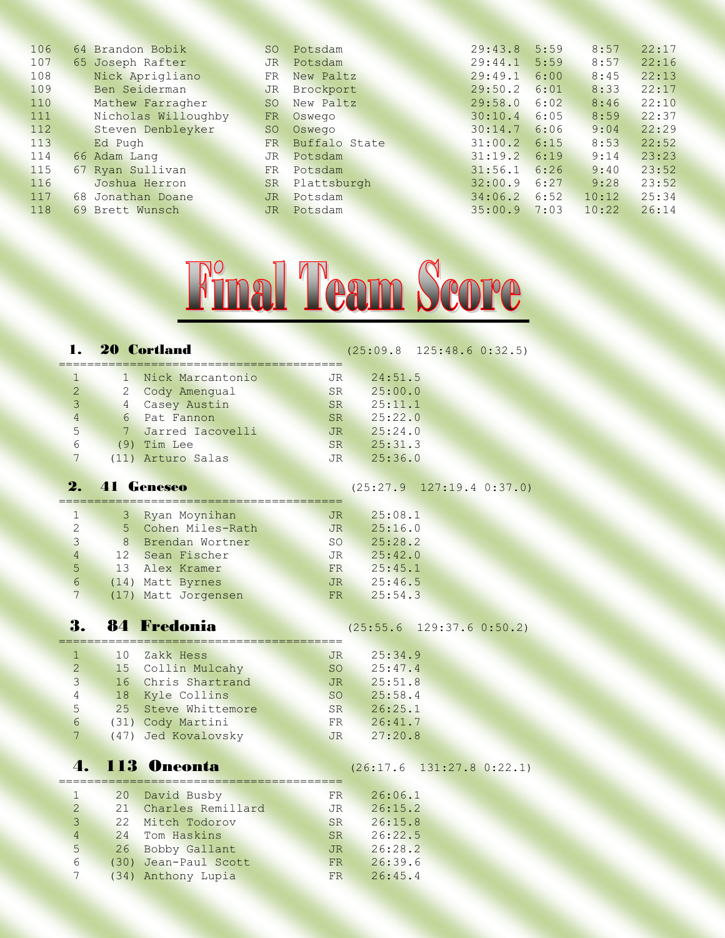| 106 | Brandon Bobik<br>64 | <b>SO</b>     | Potsdam       | 29:43.8 | 5:59 | 8:57  | 22:17 |
|-----|---------------------|---------------|---------------|---------|------|-------|-------|
| 107 | 65 Joseph Rafter    | <b>JR</b>     | Potsdam       | 29:44.1 | 5:59 | 8:57  | 22:16 |
| 108 | Nick Aprigliano     | FR            | New Paltz     | 29:49.1 | 6:00 | 8:45  | 22:13 |
| 109 | Ben Seiderman       | <b>JR</b>     | Brockport     | 29:50.2 | 6:01 | 8:33  | 22:17 |
| 110 | Mathew Farragher    | <sub>SO</sub> | New Paltz     | 29:58.0 | 6:02 | 8:46  | 22:10 |
| 111 | Nicholas Willoughby | <b>FR</b>     | Oswego        | 30:10.4 | 6:05 | 8:59  | 22:37 |
| 112 | Steven Denbleyker   | <b>SO</b>     | Oswego        | 30:14.7 | 6:06 | 9:04  | 22:29 |
| 113 | Ed Pugh             | FR            | Buffalo State | 31:00.2 | 6:15 | 8:53  | 22:52 |
| 114 | 66 Adam Lang        | <b>JR</b>     | Potsdam       | 31:19.2 | 6:19 | 9:14  | 23:23 |
| 115 | 67 Ryan Sullivan    | <b>FR</b>     | Potsdam       | 31:56.1 | 6:26 | 9:40  | 23:52 |
| 116 | Joshua Herron       | <b>SR</b>     | Plattsburgh   | 32:00.9 | 6:27 | 9:28  | 23:52 |
| 117 | 68 Jonathan Doane   | JR            | Potsdam       | 34:06.2 | 6:52 | 10:12 | 25:34 |
| 118 | 69 Brett Wunsch     | <b>JR</b>     | Potsdam       | 35:00.9 | 7:03 | 10:22 | 26:14 |
|     |                     |               |               |         |      |       |       |



### **1. 20 Cortland** (25:09.8 125:48.6 0:32.5)

|                |   | Nick Marcantonio   | JR.             | 24:51.5 |
|----------------|---|--------------------|-----------------|---------|
| 2              |   | 2 Cody Amenqual    | <b>SR</b>       | 25:00.0 |
| 3              | 4 | Casey Austin       | SR <sup>1</sup> | 25:11.1 |
| $\overline{4}$ |   | 6 Pat Fannon       | <b>SR</b>       | 25:22.0 |
| 5              |   | 7 Jarred Iacovelli | JR.             | 25:24.0 |
| 6              |   | $(9)$ Tim Lee      | <b>SR</b>       | 25:31.3 |
|                |   | (11) Arturo Salas  | <b>JR</b>       | 25:36.0 |

## **2.** 41 Geneseo (25:27.9 127:19.4 0:37.0)

| $\mathbf{1}$  |  | 3 Ryan Moynihan     | JR.             | 25:08.1 |
|---------------|--|---------------------|-----------------|---------|
| $\mathcal{P}$ |  | 5 Cohen Miles-Rath  | <b>JR</b>       | 25:16.0 |
| 3             |  | 8 Brendan Wortner   | SO <sub>2</sub> | 25:28.2 |
| 4             |  | 12 Sean Fischer     | <b>JR</b>       | 25:42.0 |
| .5            |  | 13 Alex Kramer      | <b>FR</b>       | 25:45.1 |
| 6             |  | (14) Matt Byrnes    | <b>JR</b>       | 25:46.5 |
|               |  | (17) Matt Jorgensen | FR.             | 25:54.3 |

| 1             | 10 Zakk Hess        | JR.       | 25:34.9 |
|---------------|---------------------|-----------|---------|
| $\mathcal{P}$ | 15 Collin Mulcahy   | SO.       | 25:47.4 |
| 3             | 16 Chris Shartrand  | JR.       | 25:51.8 |
| 4             | 18 Kyle Collins     | SO        | 25:58.4 |
| .5            | 25 Steve Whittemore | SR.       | 26:25.1 |
| 6             | (31) Cody Martini   | FR        | 26:41.7 |
| 7             | (47) Jed Kovalovsky | <b>JR</b> | 27:20.8 |
|               |                     |           |         |

## **4. 113 Oneonta** (26:17.6 131:27.8 0:22.1)

========================================

|               | 20 David Busby       | FR.       | 26:06.1 |
|---------------|----------------------|-----------|---------|
| $\mathcal{R}$ | 21 Charles Remillard | <b>JR</b> | 26:15.2 |
| 3             | 22 Mitch Todorov     | <b>SR</b> | 26:15.8 |
| 4             | 24 Tom Haskins       | <b>SR</b> | 26:22.5 |
| .5            | 26 Bobby Gallant     | JR        | 26:28.2 |
| 6             | (30) Jean-Paul Scott | FR        | 26:39.6 |
|               | (34) Anthony Lupia   | FR.       | 26:45.4 |

3. 84 Fredonia (25:55.6 129:37.6 0:50.2)

| 27:20.8 |  |  |
|---------|--|--|
|         |  |  |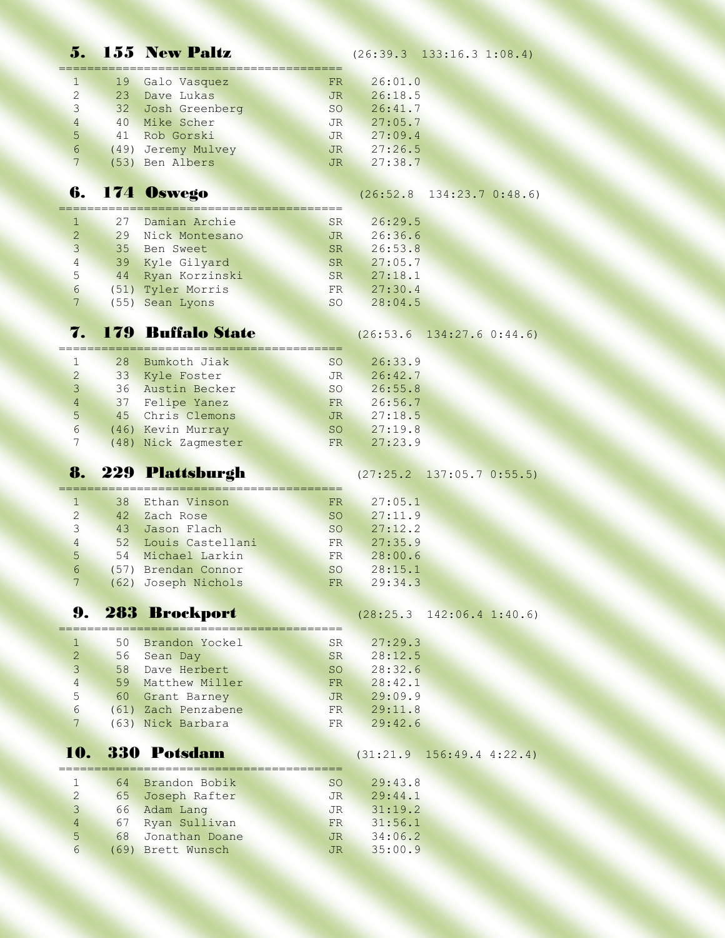| 5.                              |          | <b>155 New Paltz</b>       |                 | $(26:39.3 \t133:16.3 \t1:08.4)$         |                                 |  |
|---------------------------------|----------|----------------------------|-----------------|-----------------------------------------|---------------------------------|--|
| 1                               | 19       | Galo Vasquez               | FR              | 26:01.0                                 |                                 |  |
| 2                               |          | 23 Dave Lukas              | <b>JR</b>       | 26:18.5                                 |                                 |  |
| $\overline{3}$                  |          | 32 Josh Greenberg          | SO              | 26:41.7                                 |                                 |  |
| $\overline{4}$                  |          | 40 Mike Scher              | JR              | 27:05.7                                 |                                 |  |
| 5                               | 41       | Rob Gorski                 | <b>JR</b>       | 27:09.4                                 |                                 |  |
| $6\,$                           |          | (49) Jeremy Mulvey         | <b>JR</b>       | 27:26.5                                 |                                 |  |
| 7                               |          | (53) Ben Albers            | JR              | 27:38.7                                 |                                 |  |
| 6.                              |          | 174 <b>Oswego</b>          |                 |                                         | $(26:52.8 \t134:23.7 \t0:48.6)$ |  |
|                                 |          |                            |                 |                                         |                                 |  |
| ı                               | 27       | Damian Archie              | <b>SR</b>       | 26:29.5                                 |                                 |  |
| $\mathbf{2}$                    |          | 29 Nick Montesano          | <b>JR</b>       | 26:36.6                                 |                                 |  |
| $\overline{3}$                  |          | 35 Ben Sweet               | SR              | 26:53.8                                 |                                 |  |
| $\overline{4}$                  |          | 39 Kyle Gilyard            | SR              | 27:05.7                                 |                                 |  |
| 5                               |          | 44 Ryan Korzinski          | SR              | 27:18.1                                 |                                 |  |
| $6\overline{6}$                 |          | (51) Tyler Morris          | FR.             | 27:30.4                                 |                                 |  |
| $7\overline{ }$                 |          | (55) Sean Lyons            | <b>SO</b>       | 28:04.5                                 |                                 |  |
| 7.                              |          | 179 Buffalo State          |                 |                                         |                                 |  |
|                                 |          |                            |                 | $(26:53.6 \t134:27.6 \t0:44.6)$         |                                 |  |
| $\mathbf{1}$                    |          | 28 Bumkoth Jiak            | SO <sub>1</sub> | 26:33.9                                 |                                 |  |
| $\overline{2}$                  |          | 33 Kyle Foster             | <b>JR</b>       | 26:42.7                                 |                                 |  |
| $\mathcal{E}$                   |          | 36 Austin Becker           | <b>SO</b>       | 26:55.8                                 |                                 |  |
| $\overline{4}$                  |          | 37 Felipe Yanez            | FR              | 26:56.7                                 |                                 |  |
| 5                               |          | 45 Chris Clemons           | <b>JR</b>       | 27:18.5                                 |                                 |  |
| $6\phantom{.}6$                 |          | (46) Kevin Murray          | SO              | 27:19.8                                 |                                 |  |
| 7                               |          | (48) Nick Zagmester        | <b>FR</b>       | 27:23.9                                 |                                 |  |
|                                 |          |                            |                 |                                         |                                 |  |
| 8.                              |          | 229 Plattsburgh            |                 | $(27:25.2 \quad 137:05.7 \quad 0.55.5)$ |                                 |  |
| $\mathbf{1}$                    | 38       | Ethan Vinson               | FR.             | 27:05.1                                 |                                 |  |
| $\overline{2}$                  |          | 42 Zach Rose               | <b>SO</b>       | 27:11.9                                 |                                 |  |
| $\mathcal{E}$                   | 43       | Jason Flach                | SO-             | 27:12.2                                 |                                 |  |
| $\overline{4}$                  |          | 52 Louis Castellani        | FR              | 27:35.9                                 |                                 |  |
| 5                               | 54       | Michael Larkin             | FR              | 28:00.6                                 |                                 |  |
| $6\phantom{1}6$                 | (57)     | Brendan Connor             | <b>SO</b>       | 28:15.1                                 |                                 |  |
| 7                               |          | (62) Joseph Nichols        | FR              | 29:34.3                                 |                                 |  |
|                                 |          |                            |                 |                                         |                                 |  |
| 9.                              |          | 283 Brockport              |                 | (28:25.3)                               | $142:06.4$ 1:40.6)              |  |
| $\mathbf{1}$                    | 50       | Brandon Yockel             | SR              | 27:29.3                                 |                                 |  |
| $\overline{2}$                  | 56       | Sean Day                   | <b>SR</b>       | 28:12.5                                 |                                 |  |
| $\overline{3}$                  |          | 58 Dave Herbert            | <b>SO</b>       | 28:32.6                                 |                                 |  |
| $\overline{4}$                  | 59       | Matthew Miller             | <b>FR</b>       | 28:42.1                                 |                                 |  |
| $\overline{5}$                  |          | Grant Barney               | <b>JR</b>       | 29:09.9                                 |                                 |  |
| $6\phantom{.}6$                 |          |                            |                 |                                         |                                 |  |
|                                 | 60       |                            |                 |                                         |                                 |  |
| 7                               |          | (61) Zach Penzabene        | FR<br>FR        | 29:11.8                                 |                                 |  |
|                                 |          | (63) Nick Barbara          |                 | 29:42.6                                 |                                 |  |
| 10.                             |          | <b>330 Potsdam</b>         |                 | (31:21.9 156:49.4 4:22.4)               |                                 |  |
|                                 |          |                            |                 |                                         |                                 |  |
| 1                               | 64       | Brandon Bobik              | SO <sub>.</sub> | 29:43.8                                 |                                 |  |
| $\overline{c}$                  | 65       | Joseph Rafter              | <b>JR</b>       | 29:44.1                                 |                                 |  |
| $\mathcal{E}$<br>$\overline{4}$ | 66<br>67 | Adam Lang<br>Ryan Sullivan | <b>JR</b><br>FR | 31:19.2<br>31:56.1                      |                                 |  |

5 68 Jonathan Doane JR 34:06.2<br>6 (69) Brett Wunsch JR 35:00.9

6 (69) Brett Wunsch JR 35:00.9

| 27:29.3 |  |
|---------|--|
|         |  |